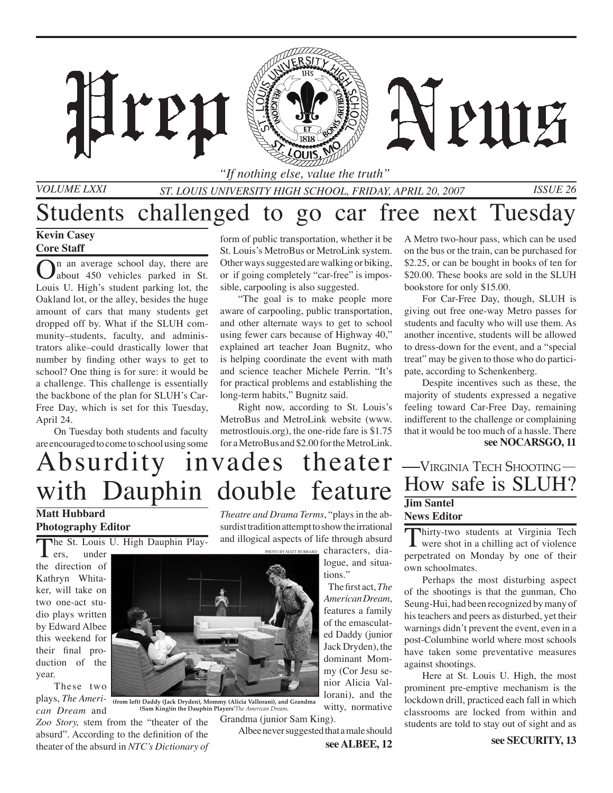

*Volume LXXI*

*"If nothing else, value the truth"*

# Students challenged to go car free next Tuesday

#### **Kevin Casey Core Staff**

In an average school day, there are about 450 vehicles parked in St. Louis U. High's student parking lot, the Oakland lot, or the alley, besides the huge amount of cars that many students get dropped off by. What if the SLUH community–students, faculty, and administrators alike–could drastically lower that number by finding other ways to get to school? One thing is for sure: it would be a challenge. This challenge is essentially the backbone of the plan for SLUH's Car-Free Day, which is set for this Tuesday, April 24.

**Hren** 

On Tuesday both students and faculty are encouraged to come to school using some

form of public transportation, whether it be St. Louis's MetroBus or MetroLink system. Other ways suggested are walking or biking, or if going completely "car-free" is impossible, carpooling is also suggested.

"The goal is to make people more aware of carpooling, public transportation, and other alternate ways to get to school using fewer cars because of Highway 40," explained art teacher Joan Bugnitz, who is helping coordinate the event with math and science teacher Michele Perrin. "It's for practical problems and establishing the long-term habits," Bugnitz said.

Right now, according to St. Louis's MetroBus and MetroLink website (www. metrostlouis.org), the one-ride fare is \$1.75 for a MetroBus and \$2.00 for the MetroLink.

# Absurdity invades theater with Dauphin double feature

#### **Matt Hubbard Photography Editor**

The St. Louis U. High Dauphin Play-

under the direction of Kathryn Whitaker, will take on two one-act studio plays written by Edward Albee this weekend for their final production of the year.

These two plays, *The American Dream* and

*Theatre and Drama Terms*, "plays in the absurdist tradition attempt to show the irrational and illogical aspects of life through absurd

> PHOTO BY MATT HUBBARD characters, dialogue, and situations."

The first act, *The American Dream*, features a family of the emasculated Daddy (junior Jack Dryden), the dominant Mommy (Cor Jesu senior Alicia Vallorani), and the witty, normative A Metro two-hour pass, which can be used on the bus or the train, can be purchased for \$2.25, or can be bought in books of ten for \$20.00. These books are sold in the SLUH bookstore for only \$15.00.

**N PINE** 

For Car-Free Day, though, SLUH is giving out free one-way Metro passes for students and faculty who will use them. As another incentive, students will be allowed to dress-down for the event, and a "special treat" may be given to those who do participate, according to Schenkenberg.

Despite incentives such as these, the majority of students expressed a negative feeling toward Car-Free Day, remaining indifferent to the challenge or complaining that it would be too much of a hassle. There **see NOCARSGO, 11**

### -VIRGINIA TECH SHOOTING-How safe is SLUH? **Jim Santel News Editor**

Thirty-two students at Virginia Tech were shot in a chilling act of violence perpetrated on Monday by one of their own schoolmates.

Perhaps the most disturbing aspect of the shootings is that the gunman, Cho Seung-Hui, had been recognized by many of his teachers and peers as disturbed, yet their warnings didn't prevent the event, even in a post-Columbine world where most schools have taken some preventative measures against shootings.

Here at St. Louis U. High, the most prominent pre-emptive mechanism is the lockdown drill, practiced each fall in which classrooms are locked from within and students are told to stay out of sight and as

Grandma (junior Sam King). **(from left) Daddy (Jack Dryden), Mommy (Alicia Vallorani), and Grandma (Sam King)in the Dauphin Players'***The American Dream***.**

*Zoo Story,* stem from the "theater of the absurd". According to the definition of the theater of the absurd in *NTC's Dictionary of* 

Albee never suggested that a male should

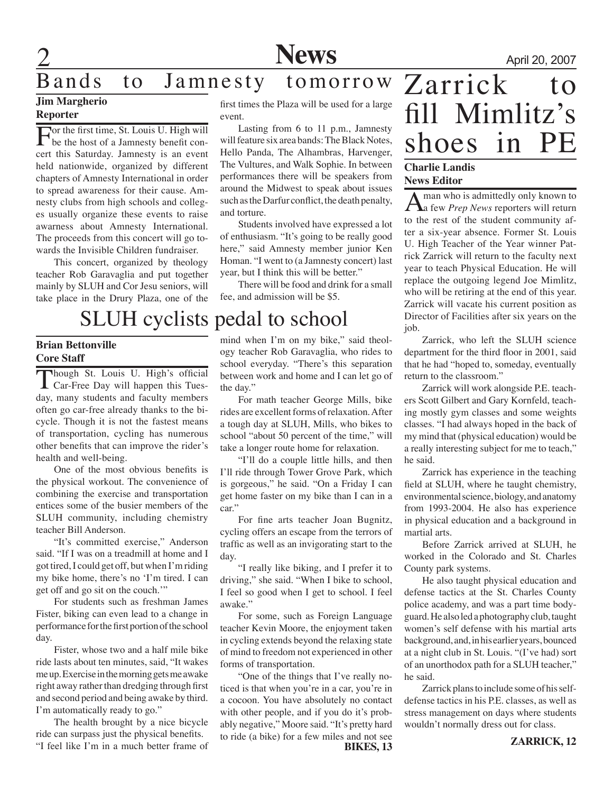**2** April 20, 2007

### Bands to Jamnesty tomorrow Zarrick

### **Jim Margherio**

**Reporter**

For the first time, St. Louis U. High will be the host of a Jamnesty benefit concert this Saturday. Jamnesty is an event held nationwide, organized by different chapters of Amnesty International in order to spread awareness for their cause. Amnesty clubs from high schools and colleges usually organize these events to raise awarness about Amnesty International. The proceeds from this concert will go towards the Invisible Children fundraiser.

This concert, organized by theology teacher Rob Garavaglia and put together mainly by SLUH and Cor Jesu seniors, will take place in the Drury Plaza, one of the

## SLUH cyclists pedal to school

### **Brian Bettonville Core Staff**

Though St. Louis U. High's official Car-Free Day will happen this Tuesday, many students and faculty members often go car-free already thanks to the bicycle. Though it is not the fastest means of transportation, cycling has numerous other benefits that can improve the rider's health and well-being.

One of the most obvious benefits is the physical workout. The convenience of combining the exercise and transportation entices some of the busier members of the SLUH community, including chemistry teacher Bill Anderson.

"It's committed exercise," Anderson said. "If I was on a treadmill at home and I got tired, I could get off, but when I'm riding my bike home, there's no 'I'm tired. I can get off and go sit on the couch.'"

For students such as freshman James Fister, biking can even lead to a change in performance for the first portion of the school day.

Fister, whose two and a half mile bike ride lasts about ten minutes, said, "It wakes me up. Exercise in the morning gets me awake right away rather than dredging through first and second period and being awake by third. I'm automatically ready to go."

The health brought by a nice bicycle ride can surpass just the physical benefits. "I feel like I'm in a much better frame of first times the Plaza will be used for a large event.

Lasting from 6 to 11 p.m., Jamnesty will feature six area bands: The Black Notes, Hello Panda, The Alhambras, Harvenger, The Vultures, and Walk Sophie. In between performances there will be speakers from around the Midwest to speak about issues such as the Darfur conflict, the death penalty, and torture.

Students involved have expressed a lot of enthusiasm. "It's going to be really good here," said Amnesty member junior Ken Homan. "I went to (a Jamnesty concert) last year, but I think this will be better."

There will be food and drink for a small fee, and admission will be \$5.

mind when I'm on my bike," said theology teacher Rob Garavaglia, who rides to school everyday. "There's this separation between work and home and I can let go of the day."

For math teacher George Mills, bike rides are excellent forms of relaxation. After a tough day at SLUH, Mills, who bikes to school "about 50 percent of the time," will take a longer route home for relaxation.

"I'll do a couple little hills, and then I'll ride through Tower Grove Park, which is gorgeous," he said. "On a Friday I can get home faster on my bike than I can in a car."

For fine arts teacher Joan Bugnitz, cycling offers an escape from the terrors of traffic as well as an invigorating start to the day.

"I really like biking, and I prefer it to driving," she said. "When I bike to school, I feel so good when I get to school. I feel awake."

For some, such as Foreign Language teacher Kevin Moore, the enjoyment taken in cycling extends beyond the relaxing state of mind to freedom not experienced in other forms of transportation.

**BIKES, 13** "One of the things that I've really noticed is that when you're in a car, you're in a cocoon. You have absolutely no contact with other people, and if you do it's probably negative," Moore said. "It's pretty hard to ride (a bike) for a few miles and not see

# fill Mimlitz's shoes in PE **Charlie Landis**

### **News Editor**

A man who is admittedly only known to a few *Prep News* reporters will return to the rest of the student community after a six-year absence. Former St. Louis U. High Teacher of the Year winner Patrick Zarrick will return to the faculty next year to teach Physical Education. He will replace the outgoing legend Joe Mimlitz, who will be retiring at the end of this year. Zarrick will vacate his current position as Director of Facilities after six years on the job.

 Zarrick, who left the SLUH science department for the third floor in 2001, said that he had "hoped to, someday, eventually return to the classroom."

 Zarrick will work alongside P.E. teachers Scott Gilbert and Gary Kornfeld, teaching mostly gym classes and some weights classes. "I had always hoped in the back of my mind that (physical education) would be a really interesting subject for me to teach," he said.

 Zarrick has experience in the teaching field at SLUH, where he taught chemistry, environmental science, biology, and anatomy from 1993-2004. He also has experience in physical education and a background in martial arts.

 Before Zarrick arrived at SLUH, he worked in the Colorado and St. Charles County park systems.

He also taught physical education and defense tactics at the St. Charles County police academy, and was a part time bodyguard. He also led a photography club, taught women's self defense with his martial arts background, and, in his earlier years, bounced at a night club in St. Louis. "(I've had) sort of an unorthodox path for a SLUH teacher," he said.

 Zarrick plans to include some of his selfdefense tactics in his P.E. classes, as well as stress management on days where students wouldn't normally dress out for class.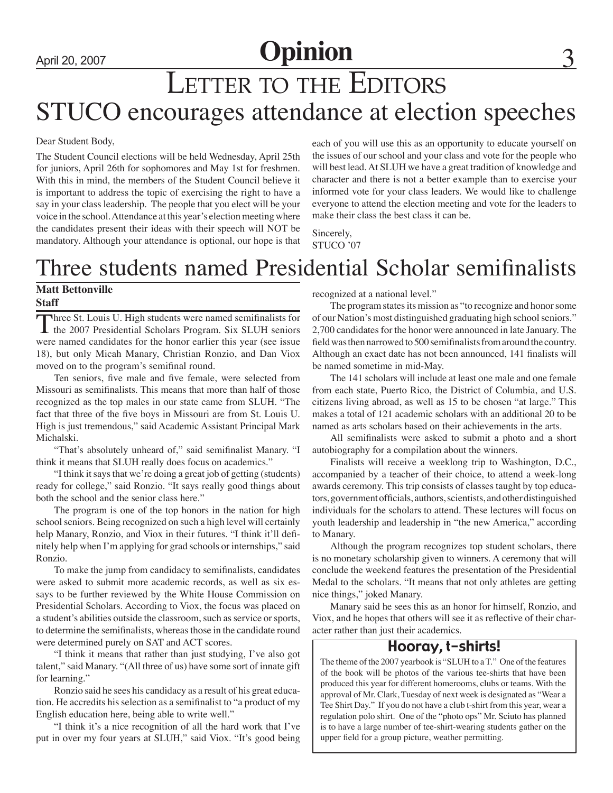# April 20, 2007 **Opinion**

# LETTER TO THE EDITORS STUCO encourages attendance at election speeches

#### Dear Student Body,

The Student Council elections will be held Wednesday, April 25th for juniors, April 26th for sophomores and May 1st for freshmen. With this in mind, the members of the Student Council believe it is important to address the topic of exercising the right to have a say in your class leadership. The people that you elect will be your voice in the school. Attendance at this year's election meeting where the candidates present their ideas with their speech will NOT be mandatory. Although your attendance is optional, our hope is that each of you will use this as an opportunity to educate yourself on the issues of our school and your class and vote for the people who will best lead. At SLUH we have a great tradition of knowledge and character and there is not a better example than to exercise your informed vote for your class leaders. We would like to challenge everyone to attend the election meeting and vote for the leaders to make their class the best class it can be.

Sincerely, STUCO '07

## Three students named Presidential Scholar semifinalists

### **Matt Bettonville Staff**

Three St. Louis U. High students were named semifinalists for the 2007 Presidential Scholars Program. Six SLUH seniors were named candidates for the honor earlier this year (see issue 18), but only Micah Manary, Christian Ronzio, and Dan Viox moved on to the program's semifinal round.

Ten seniors, five male and five female, were selected from Missouri as semifinalists. This means that more than half of those recognized as the top males in our state came from SLUH. "The fact that three of the five boys in Missouri are from St. Louis U. High is just tremendous," said Academic Assistant Principal Mark Michalski.

"That's absolutely unheard of," said semifinalist Manary. "I think it means that SLUH really does focus on academics."

"I think it says that we're doing a great job of getting (students) ready for college," said Ronzio. "It says really good things about both the school and the senior class here."

The program is one of the top honors in the nation for high school seniors. Being recognized on such a high level will certainly help Manary, Ronzio, and Viox in their futures. "I think it'll definitely help when I'm applying for grad schools or internships," said Ronzio.

To make the jump from candidacy to semifinalists, candidates were asked to submit more academic records, as well as six essays to be further reviewed by the White House Commission on Presidential Scholars. According to Viox, the focus was placed on a student's abilities outside the classroom, such as service or sports, to determine the semifinalists, whereas those in the candidate round were determined purely on SAT and ACT scores.

"I think it means that rather than just studying, I've also got talent," said Manary. "(All three of us) have some sort of innate gift for learning."

Ronzio said he sees his candidacy as a result of his great education. He accredits his selection as a semifinalist to "a product of my English education here, being able to write well."

"I think it's a nice recognition of all the hard work that I've put in over my four years at SLUH," said Viox. "It's good being recognized at a national level."

The program states its mission as "to recognize and honor some of our Nation's most distinguished graduating high school seniors." 2,700 candidates for the honor were announced in late January. The field was then narrowed to 500 semifinalists from around the country. Although an exact date has not been announced, 141 finalists will be named sometime in mid-May.

The 141 scholars will include at least one male and one female from each state, Puerto Rico, the District of Columbia, and U.S. citizens living abroad, as well as 15 to be chosen "at large." This makes a total of 121 academic scholars with an additional 20 to be named as arts scholars based on their achievements in the arts.

All semifinalists were asked to submit a photo and a short autobiography for a compilation about the winners.

Finalists will receive a weeklong trip to Washington, D.C., accompanied by a teacher of their choice, to attend a week-long awards ceremony. This trip consists of classes taught by top educators, government officials, authors, scientists, and other distinguished individuals for the scholars to attend. These lectures will focus on youth leadership and leadership in "the new America," according to Manary.

Although the program recognizes top student scholars, there is no monetary scholarship given to winners. A ceremony that will conclude the weekend features the presentation of the Presidential Medal to the scholars. "It means that not only athletes are getting nice things," joked Manary.

Manary said he sees this as an honor for himself, Ronzio, and Viox, and he hopes that others will see it as reflective of their character rather than just their academics.

### Hooray, t-shirts!

The theme of the 2007 yearbook is "SLUH to a T." One of the features of the book will be photos of the various tee-shirts that have been produced this year for different homerooms, clubs or teams. With the approval of Mr. Clark, Tuesday of next week is designated as "Wear a Tee Shirt Day." If you do not have a club t-shirt from this year, wear a regulation polo shirt. One of the "photo ops" Mr. Sciuto has planned is to have a large number of tee-shirt-wearing students gather on the upper field for a group picture, weather permitting.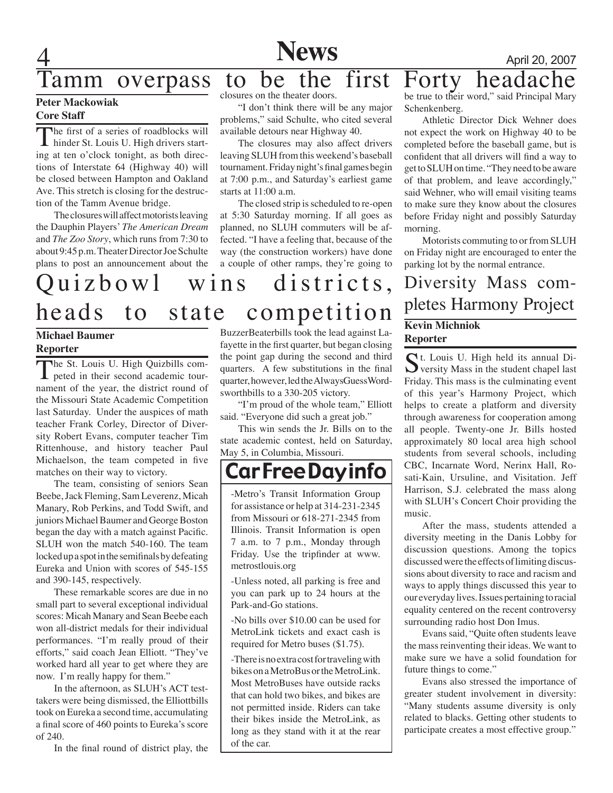

amm overpass to be the first Forty headache

#### **Peter Mackowiak Core Staff**

The first of a series of roadblocks will hinder St. Louis U. High drivers starting at ten o'clock tonight, as both directions of Interstate 64 (Highway 40) will be closed between Hampton and Oakland Ave. This stretch is closing for the destruction of the Tamm Avenue bridge.

The closures will affect motorists leaving the Dauphin Players' *The American Dream* and *The Zoo Story*, which runs from 7:30 to about 9:45 p.m. Theater Director Joe Schulte plans to post an announcement about the closures on the theater doors.

"I don't think there will be any major problems," said Schulte, who cited several available detours near Highway 40.

The closures may also affect drivers leaving SLUH from this weekend's baseball tournament. Friday night's final games begin at 7:00 p.m., and Saturday's earliest game starts at 11:00 a.m.

The closed strip is scheduled to re-open at 5:30 Saturday morning. If all goes as planned, no SLUH commuters will be affected. "I have a feeling that, because of the way (the construction workers) have done a couple of other ramps, they're going to

Quizbowl wins districts, heads to state competition

### **Michael Baumer Reporter**

The St. Louis U. High Quizbills competed in their second academic tournament of the year, the district round of the Missouri State Academic Competition last Saturday. Under the auspices of math teacher Frank Corley, Director of Diversity Robert Evans, computer teacher Tim Rittenhouse, and history teacher Paul Michaelson, the team competed in five matches on their way to victory.

The team, consisting of seniors Sean Beebe, Jack Fleming, Sam Leverenz, Micah Manary, Rob Perkins, and Todd Swift, and juniors Michael Baumer and George Boston began the day with a match against Pacific. SLUH won the match 540-160. The team locked up a spot in the semifinals by defeating Eureka and Union with scores of 545-155 and 390-145, respectively.

These remarkable scores are due in no small part to several exceptional individual scores: Micah Manary and Sean Beebe each won all-district medals for their individual performances. "I'm really proud of their efforts," said coach Jean Elliott. "They've worked hard all year to get where they are now. I'm really happy for them."

In the afternoon, as SLUH's ACT testtakers were being dismissed, the Elliottbills took on Eureka a second time, accumulating a final score of 460 points to Eureka's score of 240.

In the final round of district play, the

BuzzerBeaterbills took the lead against Lafayette in the first quarter, but began closing the point gap during the second and third quarters. A few substitutions in the final quarter, however, led the AlwaysGuessWordsworthbills to a 330-205 victory.

"I'm proud of the whole team," Elliott said. "Everyone did such a great job."

This win sends the Jr. Bills on to the state academic contest, held on Saturday, May 5, in Columbia, Missouri.

### Car Free Day info

-Metro's Transit Information Group for assistance or help at 314-231-2345 from Missouri or 618-271-2345 from Illinois. Transit Information is open 7 a.m. to 7 p.m., Monday through Friday. Use the tripfinder at www. metrostlouis.org

-Unless noted, all parking is free and you can park up to 24 hours at the Park-and-Go stations.

-No bills over \$10.00 can be used for MetroLink tickets and exact cash is required for Metro buses (\$1.75).

-There is no extra cost for traveling with bikes on a MetroBus or the MetroLink. Most MetroBuses have outside racks that can hold two bikes, and bikes are not permitted inside. Riders can take their bikes inside the MetroLink, as long as they stand with it at the rear of the car.

be true to their word," said Principal Mary Schenkenberg.

Athletic Director Dick Wehner does not expect the work on Highway 40 to be completed before the baseball game, but is confident that all drivers will find a way to get to SLUH on time. "They need to be aware of that problem, and leave accordingly," said Wehner, who will email visiting teams to make sure they know about the closures before Friday night and possibly Saturday morning.

Motorists commuting to or from SLUH on Friday night are encouraged to enter the parking lot by the normal entrance.

### Diversity Mass completes Harmony Project **Kevin Michniok Reporter**

St. Louis U. High held its annual Diversity Mass in the student chapel last Friday. This mass is the culminating event of this year's Harmony Project, which helps to create a platform and diversity through awareness for cooperation among all people. Twenty-one Jr. Bills hosted approximately 80 local area high school students from several schools, including CBC, Incarnate Word, Nerinx Hall, Rosati-Kain, Ursuline, and Visitation. Jeff Harrison, S.J. celebrated the mass along with SLUH's Concert Choir providing the music.

After the mass, students attended a diversity meeting in the Danis Lobby for discussion questions. Among the topics discussed were the effects of limiting discussions about diversity to race and racism and ways to apply things discussed this year to our everyday lives. Issues pertaining to racial equality centered on the recent controversy surrounding radio host Don Imus.

Evans said, "Quite often students leave the mass reinventing their ideas. We want to make sure we have a solid foundation for future things to come."

Evans also stressed the importance of greater student involvement in diversity: "Many students assume diversity is only related to blacks. Getting other students to participate creates a most effective group."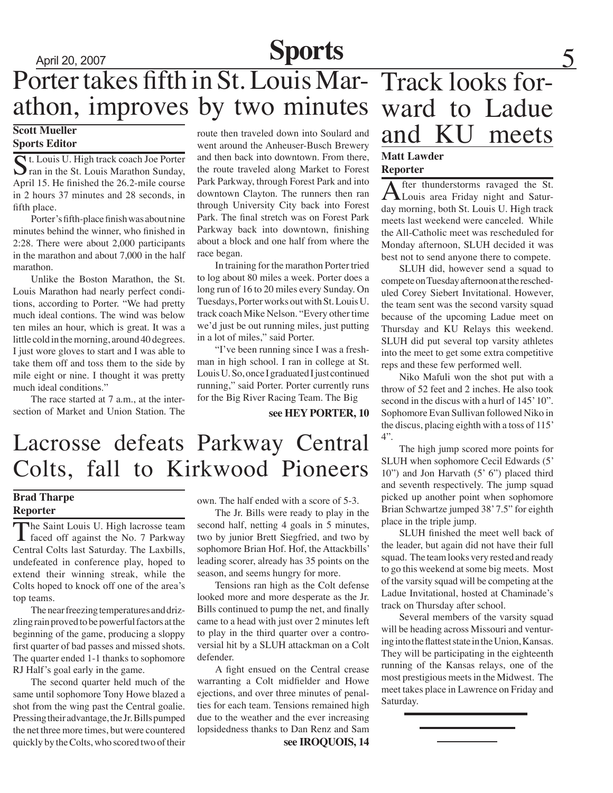# **Sports**<br>Porter takes fifth in St. Louis Mar- Track looks for-Porter takes fifth in St. Louis Mar- Track looks for-<br>athon, improves by two minutes ward to Ladue

### **Scott Mueller Sports Editor**

St. Louis U. High track coach Joe Porter  $\sum$  ran in the St. Louis Marathon Sunday, April 15. He finished the 26.2-mile course in 2 hours 37 minutes and 28 seconds, in fifth place.

Porter's fifth-place finish was about nine minutes behind the winner, who finished in 2:28. There were about 2,000 participants in the marathon and about 7,000 in the half marathon.

Unlike the Boston Marathon, the St. Louis Marathon had nearly perfect conditions, according to Porter. "We had pretty much ideal contions. The wind was below ten miles an hour, which is great. It was a little cold in the morning, around 40 degrees. I just wore gloves to start and I was able to take them off and toss them to the side by mile eight or nine. I thought it was pretty much ideal conditions."

The race started at 7 a.m., at the intersection of Market and Union Station. The route then traveled down into Soulard and went around the Anheuser-Busch Brewery and then back into downtown. From there, the route traveled along Market to Forest Park Parkway, through Forest Park and into downtown Clayton. The runners then ran through University City back into Forest Park. The final stretch was on Forest Park Parkway back into downtown, finishing about a block and one half from where the race began.

In training for the marathon Porter tried to log about 80 miles a week. Porter does a long run of 16 to 20 miles every Sunday. On Tuesdays, Porter works out with St. Louis U. track coach Mike Nelson. "Every other time we'd just be out running miles, just putting in a lot of miles," said Porter.

"I've been running since I was a freshman in high school. I ran in college at St. Louis U. So, once I graduated I just continued running," said Porter. Porter currently runs for the Big River Racing Team. The Big

#### **see HEY PORTER, 10**

### and KU meets **Matt Lawder Reporter**

After thunderstorms ravaged the St. Louis area Friday night and Saturday morning, both St. Louis U. High track meets last weekend were canceled. While the All-Catholic meet was rescheduled for Monday afternoon, SLUH decided it was best not to send anyone there to compete.

SLUH did, however send a squad to compete on Tuesday afternoon at the rescheduled Corey Siebert Invitational. However, the team sent was the second varsity squad because of the upcoming Ladue meet on Thursday and KU Relays this weekend. SLUH did put several top varsity athletes into the meet to get some extra competitive reps and these few performed well.

Niko Mafuli won the shot put with a throw of 52 feet and 2 inches. He also took second in the discus with a hurl of 145' 10". Sophomore Evan Sullivan followed Niko in the discus, placing eighth with a toss of 115' 4".

The high jump scored more points for SLUH when sophomore Cecil Edwards (5' 10") and Jon Harvath (5' 6") placed third and seventh respectively. The jump squad picked up another point when sophomore Brian Schwartze jumped 38' 7.5" for eighth place in the triple jump.

SLUH finished the meet well back of the leader, but again did not have their full squad. The team looks very rested and ready to go this weekend at some big meets. Most of the varsity squad will be competing at the Ladue Invitational, hosted at Chaminade's track on Thursday after school.

Several members of the varsity squad will be heading across Missouri and venturing into the flattest state in the Union, Kansas. They will be participating in the eighteenth running of the Kansas relays, one of the most prestigious meets in the Midwest. The meet takes place in Lawrence on Friday and Saturday.

# Lacrosse defeats Parkway Central Colts, fall to Kirkwood Pioneers

### **Brad Tharpe Reporter**

The Saint Louis U. High lacrosse team<br>faced off against the No. 7 Parkway Central Colts last Saturday. The Laxbills, undefeated in conference play, hoped to extend their winning streak, while the Colts hoped to knock off one of the area's top teams.

The near freezing temperatures and drizzling rain proved to be powerful factors at the beginning of the game, producing a sloppy first quarter of bad passes and missed shots. The quarter ended 1-1 thanks to sophomore RJ Half's goal early in the game.

The second quarter held much of the same until sophomore Tony Howe blazed a shot from the wing past the Central goalie. Pressing their advantage, the Jr. Bills pumped the net three more times, but were countered quickly by the Colts, who scored two of their own. The half ended with a score of 5-3.

The Jr. Bills were ready to play in the second half, netting 4 goals in 5 minutes, two by junior Brett Siegfried, and two by sophomore Brian Hof. Hof, the Attackbills' leading scorer, already has 35 points on the season, and seems hungry for more.

Tensions ran high as the Colt defense looked more and more desperate as the Jr. Bills continued to pump the net, and finally came to a head with just over 2 minutes left to play in the third quarter over a controversial hit by a SLUH attackman on a Colt defender.

A fight ensued on the Central crease warranting a Colt midfielder and Howe ejections, and over three minutes of penalties for each team. Tensions remained high due to the weather and the ever increasing lopsidedness thanks to Dan Renz and Sam **see IROQUOIS, 14**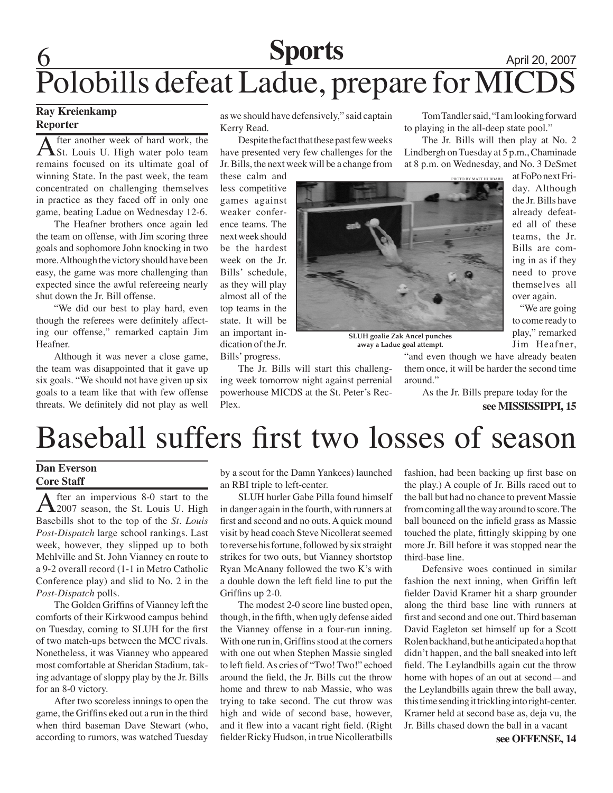# 6 **Sports** April 20, 2007 Polobills defeat Ladue, prepare for MICDS

### **Ray Kreienkamp Reporter**

After another week of hard work, the St. Louis U. High water polo team remains focused on its ultimate goal of winning State. In the past week, the team concentrated on challenging themselves in practice as they faced off in only one game, beating Ladue on Wednesday 12-6.

The Heafner brothers once again led the team on offense, with Jim scoring three goals and sophomore John knocking in two more. Although the victory should have been easy, the game was more challenging than expected since the awful refereeing nearly shut down the Jr. Bill offense.

"We did our best to play hard, even though the referees were definitely affecting our offense," remarked captain Jim Heafner.

Although it was never a close game, the team was disappointed that it gave up six goals. "We should not have given up six goals to a team like that with few offense threats. We definitely did not play as well

as we should have defensively," said captain Kerry Read.

Despite the fact that these past few weeks have presented very few challenges for the Jr. Bills, the next week will be a change from

these calm and less competitive games against weaker conference teams. The next week should be the hardest week on the Jr. Bills' schedule, as they will play almost all of the top teams in the state. It will be an important indication of the Jr. Bills' progress.

Plex.



**SLUH goalie Zak Ancel punches away a Ladue goal attempt.**

at FoPo next Friday. Although the Jr. Bills have already defeated all of these teams, the Jr. Bills are coming in as if they need to prove themselves all over again.

 "We are going to come ready to play," remarked Jim Heafner,

"and even though we have already beaten them once, it will be harder the second time around."

As the Jr. Bills prepare today for the **see MISSISSIPPI, 15**

Tom Tandler said, "I am looking forward

The Jr. Bills will then play at No. 2 Lindbergh on Tuesday at 5 p.m., Chaminade at 8 p.m. on Wednesday, and No. 3 DeSmet

to playing in the all-deep state pool."

# Baseball suffers first two losses of season

The Jr. Bills will start this challenging week tomorrow night against perrenial powerhouse MICDS at the St. Peter's Rec-

#### **Dan Everson Core Staff**

After an impervious 8-0 start to the 2007 season, the St. Louis U. High Basebills shot to the top of the *St. Louis Post-Dispatch* large school rankings. Last week, however, they slipped up to both Mehlville and St. John Vianney en route to a 9-2 overall record (1-1 in Metro Catholic Conference play) and slid to No. 2 in the *Post-Dispatch* polls.

The Golden Griffins of Vianney left the comforts of their Kirkwood campus behind on Tuesday, coming to SLUH for the first of two match-ups between the MCC rivals. Nonetheless, it was Vianney who appeared most comfortable at Sheridan Stadium, taking advantage of sloppy play by the Jr. Bills for an 8-0 victory.

After two scoreless innings to open the game, the Griffins eked out a run in the third when third baseman Dave Stewart (who, according to rumors, was watched Tuesday

by a scout for the Damn Yankees) launched an RBI triple to left-center.

SLUH hurler Gabe Pilla found himself in danger again in the fourth, with runners at first and second and no outs. A quick mound visit by head coach Steve Nicollerat seemed to reverse his fortune, followed by six straight strikes for two outs, but Vianney shortstop Ryan McAnany followed the two K's with a double down the left field line to put the Griffins up 2-0.

The modest 2-0 score line busted open, though, in the fifth, when ugly defense aided the Vianney offense in a four-run inning. With one run in, Griffins stood at the corners with one out when Stephen Massie singled to left field. As cries of "Two! Two!" echoed around the field, the Jr. Bills cut the throw home and threw to nab Massie, who was trying to take second. The cut throw was high and wide of second base, however, and it flew into a vacant right field. (Right fielder Ricky Hudson, in true Nicolleratbills

fashion, had been backing up first base on the play.) A couple of Jr. Bills raced out to the ball but had no chance to prevent Massie from coming all the way around to score. The ball bounced on the infield grass as Massie touched the plate, fittingly skipping by one more Jr. Bill before it was stopped near the third-base line.

Defensive woes continued in similar fashion the next inning, when Griffin left fielder David Kramer hit a sharp grounder along the third base line with runners at first and second and one out. Third baseman David Eagleton set himself up for a Scott Rolen backhand, but he anticipated a hop that didn't happen, and the ball sneaked into left field. The Leylandbills again cut the throw home with hopes of an out at second—and the Leylandbills again threw the ball away, this time sending it trickling into right-center. Kramer held at second base as, deja vu, the Jr. Bills chased down the ball in a vacant

**see OFFENSE, 14**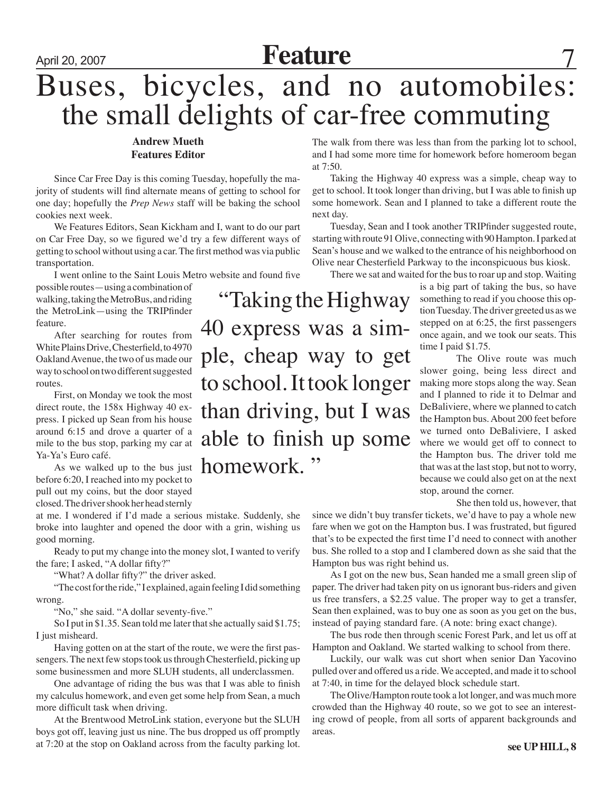## April 20, 2007 **Feature**

# Buses, bicycles, and no automobiles: the small delights of car-free commuting

### **Andrew Mueth Features Editor**

Since Car Free Day is this coming Tuesday, hopefully the majority of students will find alternate means of getting to school for one day; hopefully the *Prep News* staff will be baking the school cookies next week.

We Features Editors, Sean Kickham and I, want to do our part on Car Free Day, so we figured we'd try a few different ways of getting to school without using a car. The first method was via public transportation.

I went online to the Saint Louis Metro website and found five

possible routes—using a combination of walking, taking the MetroBus, and riding the MetroLink—using the TRIPfinder feature.

After searching for routes from White Plains Drive, Chesterfield, to 4970 Oakland Avenue, the two of us made our way to school on two different suggested routes.

First, on Monday we took the most direct route, the 158x Highway 40 express. I picked up Sean from his house around 6:15 and drove a quarter of a mile to the bus stop, parking my car at Ya-Ya's Euro café.

As we walked up to the bus just before 6:20, I reached into my pocket to pull out my coins, but the door stayed closed. The driver shook her head sternly

at me. I wondered if I'd made a serious mistake. Suddenly, she broke into laughter and opened the door with a grin, wishing us good morning.

Ready to put my change into the money slot, I wanted to verify the fare; I asked, "A dollar fifty?"

"What? A dollar fifty?" the driver asked.

"The cost for the ride," I explained, again feeling I did something wrong.

"No," she said. "A dollar seventy-five."

So I put in \$1.35. Sean told me later that she actually said \$1.75; I just misheard.

Having gotten on at the start of the route, we were the first passengers. The next few stops took us through Chesterfield, picking up some businessmen and more SLUH students, all underclassmen.

One advantage of riding the bus was that I was able to finish my calculus homework, and even get some help from Sean, a much more difficult task when driving.

At the Brentwood MetroLink station, everyone but the SLUH boys got off, leaving just us nine. The bus dropped us off promptly at 7:20 at the stop on Oakland across from the faculty parking lot. The walk from there was less than from the parking lot to school, and I had some more time for homework before homeroom began at 7:50.

Taking the Highway 40 express was a simple, cheap way to get to school. It took longer than driving, but I was able to finish up some homework. Sean and I planned to take a different route the next day.

Tuesday, Sean and I took another TRIPfinder suggested route, starting with route 91 Olive, connecting with 90 Hampton. I parked at Sean's house and we walked to the entrance of his neighborhood on Olive near Chesterfield Parkway to the inconspicuous bus kiosk.

There we sat and waited for the bus to roar up and stop. Waiting

"Taking the Highway 40 express was a simple, cheap way to get to school. It took longer than driving, but I was able to finish up some homework.

is a big part of taking the bus, so have something to read if you choose this option Tuesday. The driver greeted us as we stepped on at 6:25, the first passengers once again, and we took our seats. This time I paid \$1.75.

 The Olive route was much slower going, being less direct and making more stops along the way. Sean and I planned to ride it to Delmar and DeBaliviere, where we planned to catch the Hampton bus. About 200 feet before we turned onto DeBaliviere, I asked where we would get off to connect to the Hampton bus. The driver told me that was at the last stop, but not to worry, because we could also get on at the next stop, around the corner.

She then told us, however, that

since we didn't buy transfer tickets, we'd have to pay a whole new fare when we got on the Hampton bus. I was frustrated, but figured that's to be expected the first time I'd need to connect with another bus. She rolled to a stop and I clambered down as she said that the Hampton bus was right behind us.

As I got on the new bus, Sean handed me a small green slip of paper. The driver had taken pity on us ignorant bus-riders and given us free transfers, a \$2.25 value. The proper way to get a transfer, Sean then explained, was to buy one as soon as you get on the bus, instead of paying standard fare. (A note: bring exact change).

The bus rode then through scenic Forest Park, and let us off at Hampton and Oakland. We started walking to school from there.

Luckily, our walk was cut short when senior Dan Yacovino pulled over and offered us a ride. We accepted, and made it to school at 7:40, in time for the delayed block schedule start.

The Olive/Hampton route took a lot longer, and was much more crowded than the Highway 40 route, so we got to see an interesting crowd of people, from all sorts of apparent backgrounds and areas.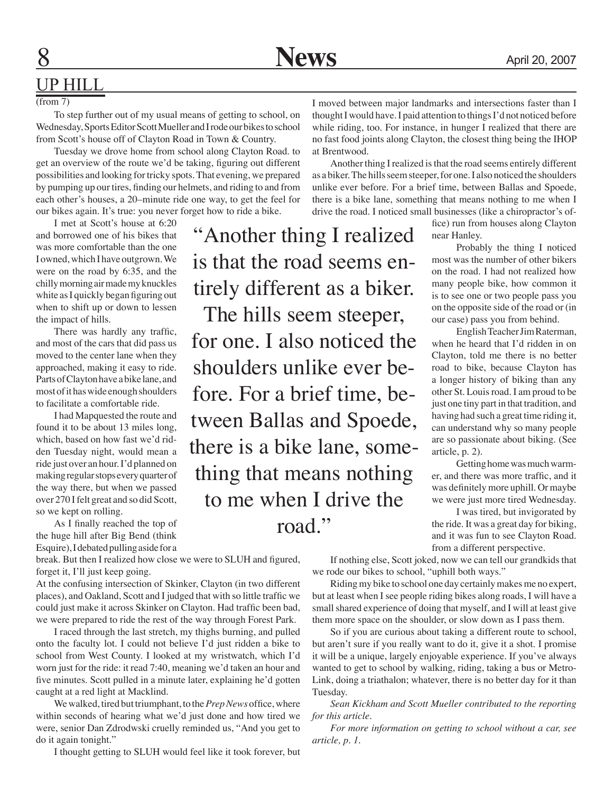"Another thing I realized

is that the road seems en-

tirely different as a biker.

The hills seem steeper,

for one. I also noticed the

shoulders unlike ever be-

fore. For a brief time, be-

tween Ballas and Spoede,

there is a bike lane, some-

thing that means nothing

to me when I drive the

road."

### UP HILL

### (from 7)

To step further out of my usual means of getting to school, on Wednesday, Sports Editor Scott Mueller and I rode our bikes to school from Scott's house off of Clayton Road in Town & Country.

Tuesday we drove home from school along Clayton Road. to get an overview of the route we'd be taking, figuring out different possibilities and looking for tricky spots. That evening, we prepared by pumping up our tires, finding our helmets, and riding to and from each other's houses, a 20–minute ride one way, to get the feel for our bikes again. It's true: you never forget how to ride a bike.

I met at Scott's house at 6:20 and borrowed one of his bikes that was more comfortable than the one I owned, which I have outgrown. We were on the road by 6:35, and the chilly morning air made my knuckles white as I quickly began figuring out when to shift up or down to lessen the impact of hills.

There was hardly any traffic, and most of the cars that did pass us moved to the center lane when they approached, making it easy to ride. Parts of Clayton have a bike lane, and most of it has wide enough shoulders to facilitate a comfortable ride.

I had Mapquested the route and found it to be about 13 miles long, which, based on how fast we'd ridden Tuesday night, would mean a ride just over an hour. I'd planned on making regular stops every quarter of the way there, but when we passed over 270 I felt great and so did Scott, so we kept on rolling.

As I finally reached the top of the huge hill after Big Bend (think Esquire), I debated pulling aside for a

break. But then I realized how close we were to SLUH and figured, forget it, I'll just keep going.

At the confusing intersection of Skinker, Clayton (in two different places), and Oakland, Scott and I judged that with so little traffic we could just make it across Skinker on Clayton. Had traffic been bad, we were prepared to ride the rest of the way through Forest Park.

I raced through the last stretch, my thighs burning, and pulled onto the faculty lot. I could not believe I'd just ridden a bike to school from West County. I looked at my wristwatch, which I'd worn just for the ride: it read 7:40, meaning we'd taken an hour and five minutes. Scott pulled in a minute later, explaining he'd gotten caught at a red light at Macklind.

We walked, tired but triumphant, to the *Prep News* office, where within seconds of hearing what we'd just done and how tired we were, senior Dan Zdrodwski cruelly reminded us, "And you get to do it again tonight."

I thought getting to SLUH would feel like it took forever, but

I moved between major landmarks and intersections faster than I thought I would have. I paid attention to things I'd not noticed before while riding, too. For instance, in hunger I realized that there are no fast food joints along Clayton, the closest thing being the IHOP at Brentwood.

Another thing I realized is that the road seems entirely different as a biker. The hills seem steeper, for one. I also noticed the shoulders unlike ever before. For a brief time, between Ballas and Spoede, there is a bike lane, something that means nothing to me when I drive the road. I noticed small businesses (like a chiropractor's of-

> fice) run from houses along Clayton near Hanley.

Probably the thing I noticed most was the number of other bikers on the road. I had not realized how many people bike, how common it is to see one or two people pass you on the opposite side of the road or (in our case) pass you from behind.

English Teacher Jim Raterman, when he heard that I'd ridden in on Clayton, told me there is no better road to bike, because Clayton has a longer history of biking than any other St. Louis road. I am proud to be just one tiny part in that tradition, and having had such a great time riding it, can understand why so many people are so passionate about biking. (See article, p. 2).

Getting home was much warmer, and there was more traffic, and it was definitely more uphill. Or maybe we were just more tired Wednesday.

I was tired, but invigorated by the ride. It was a great day for biking, and it was fun to see Clayton Road. from a different perspective.

If nothing else, Scott joked, now we can tell our grandkids that we rode our bikes to school, "uphill both ways."

Riding my bike to school one day certainly makes me no expert, but at least when I see people riding bikes along roads, I will have a small shared experience of doing that myself, and I will at least give them more space on the shoulder, or slow down as I pass them.

So if you are curious about taking a different route to school, but aren't sure if you really want to do it, give it a shot. I promise it will be a unique, largely enjoyable experience. If you've always wanted to get to school by walking, riding, taking a bus or Metro-Link, doing a triathalon; whatever, there is no better day for it than Tuesday.

 *Sean Kickham and Scott Mueller contributed to the reporting for this article.*

*For more information on getting to school without a car, see article, p. 1.*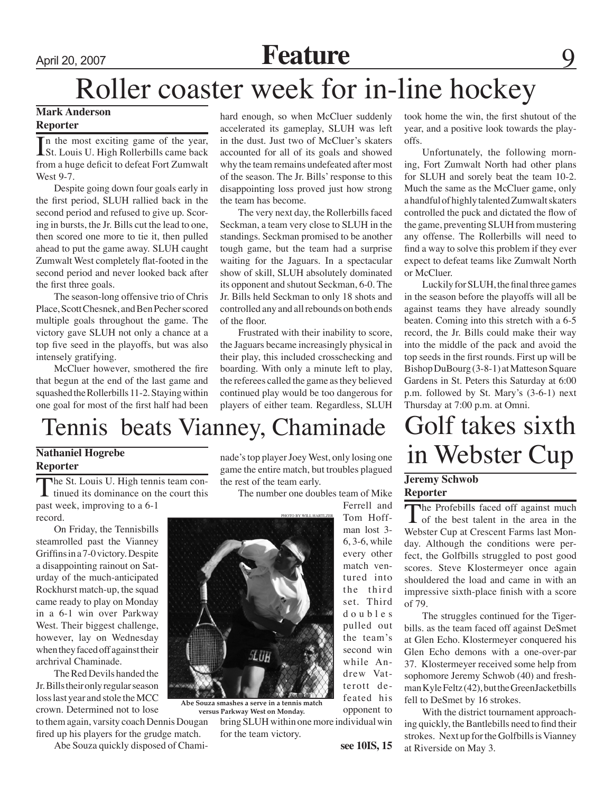## April 20, 2007 **Feature**

# Roller coaster week for in-line hockey

### **Mark Anderson**

### **Reporter**

In the most exciting game of the year,<br>St. Louis U. High Rollerbills came back St. Louis U. High Rollerbills came back from a huge deficit to defeat Fort Zumwalt West 9-7.

Despite going down four goals early in the first period, SLUH rallied back in the second period and refused to give up. Scoring in bursts, the Jr. Bills cut the lead to one, then scored one more to tie it, then pulled ahead to put the game away. SLUH caught Zumwalt West completely flat-footed in the second period and never looked back after the first three goals.

The season-long offensive trio of Chris Place, Scott Chesnek, and Ben Pecher scored multiple goals throughout the game. The victory gave SLUH not only a chance at a top five seed in the playoffs, but was also intensely gratifying.

McCluer however, smothered the fire that begun at the end of the last game and squashed the Rollerbills 11-2. Staying within one goal for most of the first half had been

hard enough, so when McCluer suddenly accelerated its gameplay, SLUH was left in the dust. Just two of McCluer's skaters accounted for all of its goals and showed why the team remains undefeated after most of the season. The Jr. Bills' response to this disappointing loss proved just how strong the team has become.

The very next day, the Rollerbills faced Seckman, a team very close to SLUH in the standings. Seckman promised to be another tough game, but the team had a surprise waiting for the Jaguars. In a spectacular show of skill, SLUH absolutely dominated its opponent and shutout Seckman, 6-0. The Jr. Bills held Seckman to only 18 shots and controlled any and all rebounds on both ends of the floor.

Frustrated with their inability to score, the Jaguars became increasingly physical in their play, this included crosschecking and boarding. With only a minute left to play, the referees called the game as they believed continued play would be too dangerous for players of either team. Regardless, SLUH

took home the win, the first shutout of the year, and a positive look towards the playoffs.

Unfortunately, the following morning, Fort Zumwalt North had other plans for SLUH and sorely beat the team 10-2. Much the same as the McCluer game, only a handful of highly talented Zumwalt skaters controlled the puck and dictated the flow of the game, preventing SLUH from mustering any offense. The Rollerbills will need to find a way to solve this problem if they ever expect to defeat teams like Zumwalt North or McCluer.

Luckily for SLUH, the final three games in the season before the playoffs will all be against teams they have already soundly beaten. Coming into this stretch with a 6-5 record, the Jr. Bills could make their way into the middle of the pack and avoid the top seeds in the first rounds. First up will be Bishop DuBourg (3-8-1) at Matteson Square Gardens in St. Peters this Saturday at 6:00 p.m. followed by St. Mary's (3-6-1) next Thursday at 7:00 p.m. at Omni.

Golf takes sixth

in Webster Cup

# Tennis beats Vianney, Chaminade

### **Nathaniel Hogrebe Reporter**

The St. Louis U. High tennis team con- $\blacksquare$  tinued its dominance on the court this past week, improving to a 6-1 record.

On Friday, the Tennisbills steamrolled past the Vianney Griffins in a 7-0 victory. Despite a disappointing rainout on Saturday of the much-anticipated Rockhurst match-up, the squad came ready to play on Monday in a 6-1 win over Parkway West. Their biggest challenge, however, lay on Wednesday when they faced off against their archrival Chaminade.

The Red Devils handed the Jr. Bills their only regular season loss last year and stole the MCC crown. Determined not to lose to them again, varsity coach Dennis Dougan

fired up his players for the grudge match.

Abe Souza quickly disposed of Chami-

nade's top player Joey West, only losing one game the entire match, but troubles plagued the rest of the team early.

The number one doubles team of Mike



**Abe Souza smashes a serve in a tennis match** 

opponent to bring SLUH within one more individual win **versus Parkway West on Monday.**

for the team victory.

**see 10IS, 15**

set. Third d o u b l e s pulled out the team's second win while Andrew Vatterott defeated his

Ferrell and Tom Hoffman lost 3- 6, 3-6, while every other match ventured into the third **Jeremy Schwob Reporter** The Profebills faced off against much<br>of the best talent in the area in the<br>W<sub>1</sub> to C<sub>1</sub> to C<sub>1</sub> to C<sub>1</sub> to C<sub>1</sub> Webster Cup at Crescent Farms last Monday. Although the conditions were perfect, the Golfbills struggled to post good scores. Steve Klostermeyer once again shouldered the load and came in with an impressive sixth-place finish with a score

> of 79. The struggles continued for the Tigerbills. as the team faced off against DeSmet at Glen Echo. Klostermeyer conquered his Glen Echo demons with a one-over-par 37. Klostermeyer received some help from sophomore Jeremy Schwob (40) and freshman Kyle Feltz (42), but the GreenJacketbills fell to DeSmet by 16 strokes.

> With the district tournament approaching quickly, the Bantlebills need to find their strokes. Next up for the Golfbills is Vianney at Riverside on May 3.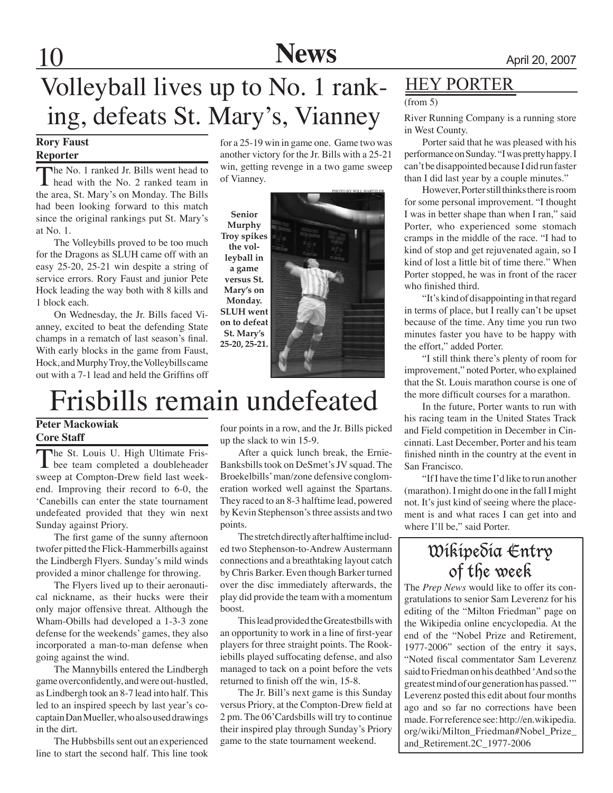

# Volleyball lives up to No. 1 ranking, defeats St. Mary's, Vianney

#### **Rory Faust Reporter**

The No. 1 ranked Jr. Bills went head to head with the No. 2 ranked team in the area, St. Mary's on Monday. The Bills had been looking forward to this match since the original rankings put St. Mary's at No. 1.

The Volleybills proved to be too much for the Dragons as SLUH came off with an easy 25-20, 25-21 win despite a string of service errors. Rory Faust and junior Pete Hock leading the way both with 8 kills and 1 block each.

On Wednesday, the Jr. Bills faced Vianney, excited to beat the defending State champs in a rematch of last season's final. With early blocks in the game from Faust, Hock, and Murphy Troy, the Volleybills came out with a 7-1 lead and held the Griffins off

for a 25-19 win in game one. Game two was another victory for the Jr. Bills with a 25-21 win, getting revenge in a two game sweep of Vianney.

**Senior Murphy Troy spikes the volleyball in a game versus St. Mary's on Monday. SLUH went on to defeat St. Mary's 25-20, 25-21.**



# Frisbills remain undefeated

### **Peter Mackowiak Core Staff**

The St. Louis U. High Ultimate Fris-**L** bee team completed a doubleheader sweep at Compton-Drew field last weekend. Improving their record to 6-0, the 'Canebills can enter the state tournament undefeated provided that they win next Sunday against Priory.

The first game of the sunny afternoon twofer pitted the Flick-Hammerbills against the Lindbergh Flyers. Sunday's mild winds provided a minor challenge for throwing.

The Flyers lived up to their aeronautical nickname, as their hucks were their only major offensive threat. Although the Wham-Obills had developed a 1-3-3 zone defense for the weekends' games, they also incorporated a man-to-man defense when going against the wind.

The Mannybills entered the Lindbergh game overconfidently, and were out-hustled, as Lindbergh took an 8-7 lead into half. This led to an inspired speech by last year's cocaptain Dan Mueller, who also used drawings in the dirt.

The Hubbsbills sent out an experienced line to start the second half. This line took

four points in a row, and the Jr. Bills picked up the slack to win 15-9.

After a quick lunch break, the Ernie-Banksbills took on DeSmet's JV squad. The Broekelbills' man/zone defensive conglomeration worked well against the Spartans. They raced to an 8-3 halftime lead, powered by Kevin Stephenson's three assists and two points.

The stretch directly after halftime included two Stephenson-to-Andrew Austermann connections and a breathtaking layout catch by Chris Barker. Even though Barker turned over the disc immediately afterwards, the play did provide the team with a momentum boost.

This lead provided the Greatestbills with an opportunity to work in a line of first-year players for three straight points. The Rookiebills played suffocating defense, and also managed to tack on a point before the vets returned to finish off the win, 15-8.

The Jr. Bill's next game is this Sunday versus Priory, at the Compton-Drew field at 2 pm. The 06'Cardsbills will try to continue their inspired play through Sunday's Priory game to the state tournament weekend.

### HEY PORTER

 $\sqrt{\text{from } 5}$ 

River Running Company is a running store in West County.

Porter said that he was pleased with his performance on Sunday. "I was pretty happy. I can't be disappointed because I did run faster than I did last year by a couple minutes."

However, Porter still thinks there is room for some personal improvement. "I thought I was in better shape than when I ran," said Porter, who experienced some stomach cramps in the middle of the race. "I had to kind of stop and get rejuvenated again, so I kind of lost a little bit of time there." When Porter stopped, he was in front of the racer who finished third.

"It's kind of disappointing in that regard in terms of place, but I really can't be upset because of the time. Any time you run two minutes faster you have to be happy with the effort," added Porter.

"I still think there's plenty of room for improvement," noted Porter, who explained that the St. Louis marathon course is one of the more difficult courses for a marathon.

In the future, Porter wants to run with his racing team in the United States Track and Field competition in December in Cincinnati. Last December, Porter and his team finished ninth in the country at the event in San Francisco.

"If I have the time I'd like to run another (marathon). I might do one in the fall I might not. It's just kind of seeing where the placement is and what races I can get into and where I'll be," said Porter.

### Wikipedia Entry of the week

The *Prep News* would like to offer its congratulations to senior Sam Leverenz for his editing of the "Milton Friedman" page on the Wikipedia online encyclopedia. At the end of the "Nobel Prize and Retirement, 1977-2006" section of the entry it says, "Noted fiscal commentator Sam Leverenz said to Friedman on his deathbed 'And so the greatest mind of our generation has passed.'" Leverenz posted this edit about four months ago and so far no corrections have been made. For reference see: http://en.wikipedia. org/wiki/Milton\_Friedman#Nobel\_Prize\_ and\_Retirement.2C\_1977-2006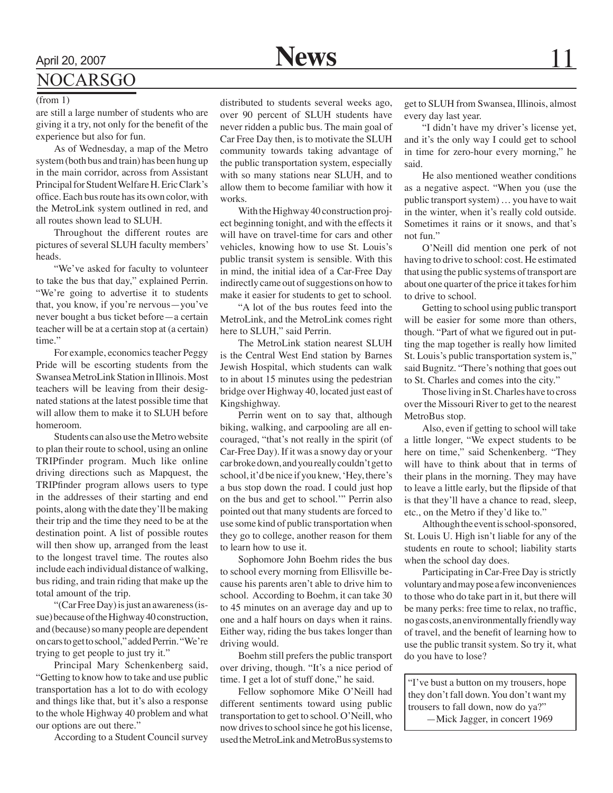### April 20, 2007 **News** 11 NOCARSGO

#### (from 1)

are still a large number of students who are giving it a try, not only for the benefit of the experience but also for fun.

As of Wednesday, a map of the Metro system (both bus and train) has been hung up in the main corridor, across from Assistant Principal for Student Welfare H. Eric Clark's office. Each bus route has its own color, with the MetroLink system outlined in red, and all routes shown lead to SLUH.

Throughout the different routes are pictures of several SLUH faculty members' heads.

"We've asked for faculty to volunteer to take the bus that day," explained Perrin. "We're going to advertise it to students that, you know, if you're nervous—you've never bought a bus ticket before—a certain teacher will be at a certain stop at (a certain) time."

For example, economics teacher Peggy Pride will be escorting students from the Swansea MetroLink Station in Illinois. Most teachers will be leaving from their designated stations at the latest possible time that will allow them to make it to SLUH before homeroom.

Students can also use the Metro website to plan their route to school, using an online TRIPfinder program. Much like online driving directions such as Mapquest, the TRIPfinder program allows users to type in the addresses of their starting and end points, along with the date they'll be making their trip and the time they need to be at the destination point. A list of possible routes will then show up, arranged from the least to the longest travel time. The routes also include each individual distance of walking, bus riding, and train riding that make up the total amount of the trip.

"(Car Free Day) is just an awareness (issue) because of the Highway 40 construction, and (because) so many people are dependent on cars to get to school," added Perrin. "We're trying to get people to just try it."

Principal Mary Schenkenberg said, "Getting to know how to take and use public transportation has a lot to do with ecology and things like that, but it's also a response to the whole Highway 40 problem and what our options are out there."

According to a Student Council survey

distributed to students several weeks ago, over 90 percent of SLUH students have never ridden a public bus. The main goal of Car Free Day then, is to motivate the SLUH community towards taking advantage of the public transportation system, especially with so many stations near SLUH, and to allow them to become familiar with how it works.

With the Highway 40 construction project beginning tonight, and with the effects it will have on travel-time for cars and other vehicles, knowing how to use St. Louis's public transit system is sensible. With this in mind, the initial idea of a Car-Free Day indirectly came out of suggestions on how to make it easier for students to get to school.

"A lot of the bus routes feed into the MetroLink, and the MetroLink comes right here to SLUH," said Perrin.

The MetroLink station nearest SLUH is the Central West End station by Barnes Jewish Hospital, which students can walk to in about 15 minutes using the pedestrian bridge over Highway 40, located just east of Kingshighway.

Perrin went on to say that, although biking, walking, and carpooling are all encouraged, "that's not really in the spirit (of Car-Free Day). If it was a snowy day or your car broke down, and you really couldn't get to school, it'd be nice if you knew, 'Hey, there's a bus stop down the road. I could just hop on the bus and get to school.'" Perrin also pointed out that many students are forced to use some kind of public transportation when they go to college, another reason for them to learn how to use it.

Sophomore John Boehm rides the bus to school every morning from Ellisville because his parents aren't able to drive him to school. According to Boehm, it can take 30 to 45 minutes on an average day and up to one and a half hours on days when it rains. Either way, riding the bus takes longer than driving would.

Boehm still prefers the public transport over driving, though. "It's a nice period of time. I get a lot of stuff done," he said.

Fellow sophomore Mike O'Neill had different sentiments toward using public transportation to get to school. O'Neill, who now drives to school since he got his license, used the MetroLink and MetroBus systems to

get to SLUH from Swansea, Illinois, almost every day last year.

"I didn't have my driver's license yet, and it's the only way I could get to school in time for zero-hour every morning," he said.

He also mentioned weather conditions as a negative aspect. "When you (use the public transport system) … you have to wait in the winter, when it's really cold outside. Sometimes it rains or it snows, and that's not fun."

O'Neill did mention one perk of not having to drive to school: cost. He estimated that using the public systems of transport are about one quarter of the price it takes for him to drive to school.

Getting to school using public transport will be easier for some more than others, though. "Part of what we figured out in putting the map together is really how limited St. Louis's public transportation system is," said Bugnitz. "There's nothing that goes out to St. Charles and comes into the city."

Those living in St. Charles have to cross over the Missouri River to get to the nearest MetroBus stop.

Also, even if getting to school will take a little longer, "We expect students to be here on time," said Schenkenberg. "They will have to think about that in terms of their plans in the morning. They may have to leave a little early, but the flipside of that is that they'll have a chance to read, sleep, etc., on the Metro if they'd like to."

Although the event is school-sponsored, St. Louis U. High isn't liable for any of the students en route to school; liability starts when the school day does.

Participating in Car-Free Day is strictly voluntary and may pose a few inconveniences to those who do take part in it, but there will be many perks: free time to relax, no traffic, no gas costs, an environmentally friendly way of travel, and the benefit of learning how to use the public transit system. So try it, what do you have to lose?

"I've bust a button on my trousers, hope they don't fall down. You don't want my trousers to fall down, now do ya?" —Mick Jagger, in concert 1969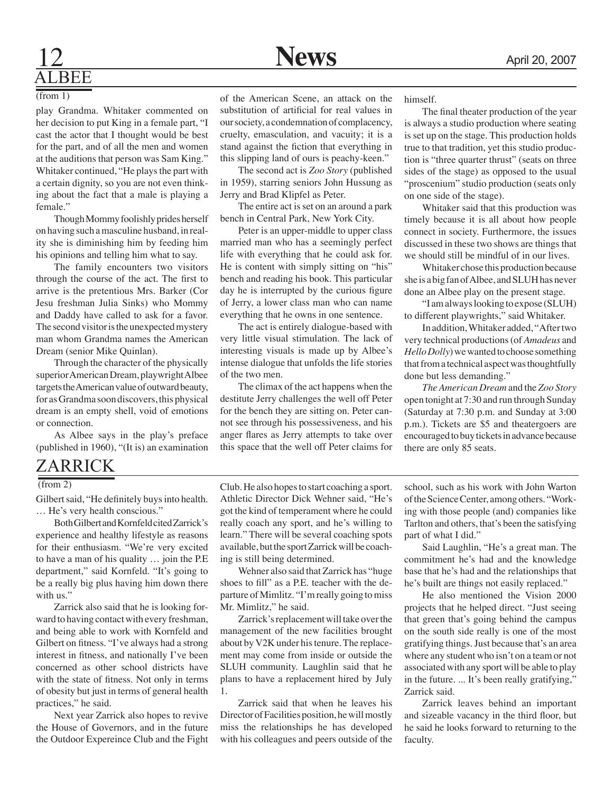# ALBEE

#### $(from 1)$

play Grandma. Whitaker commented on her decision to put King in a female part, "I cast the actor that I thought would be best for the part, and of all the men and women at the auditions that person was Sam King." Whitaker continued, "He plays the part with a certain dignity, so you are not even thinking about the fact that a male is playing a female."

Though Mommy foolishly prides herself on having such a masculine husband, in reality she is diminishing him by feeding him his opinions and telling him what to say.

The family encounters two visitors through the course of the act. The first to arrive is the pretentious Mrs. Barker (Cor Jesu freshman Julia Sinks) who Mommy and Daddy have called to ask for a favor. The second visitor is the unexpected mystery man whom Grandma names the American Dream (senior Mike Quinlan).

Through the character of the physically superior American Dream, playwright Albee targets the American value of outward beauty, for as Grandma soon discovers, this physical dream is an empty shell, void of emotions or connection.

As Albee says in the play's preface (published in 1960), "(It is) an examination

### Zarrick

#### (from 2)

Gilbert said, "He definitely buys into health. … He's very health conscious."

Both Gilbert and Kornfeld cited Zarrick's experience and healthy lifestyle as reasons for their enthusiasm. "We're very excited to have a man of his quality … join the P.E department," said Kornfeld. "It's going to be a really big plus having him down there with us."

Zarrick also said that he is looking forward to having contact with every freshman, and being able to work with Kornfeld and Gilbert on fitness. "I've always had a strong interest in fitness, and nationally I've been concerned as other school districts have with the state of fitness. Not only in terms of obesity but just in terms of general health practices," he said.

 Next year Zarrick also hopes to revive the House of Governors, and in the future the Outdoor Expereince Club and the Fight

of the American Scene, an attack on the substitution of artificial for real values in our society, a condemnation of complacency, cruelty, emasculation, and vacuity; it is a stand against the fiction that everything in this slipping land of ours is peachy-keen."

The second act is *Zoo Story* (published in 1959), starring seniors John Hussung as Jerry and Brad Klipfel as Peter.

The entire act is set on an around a park bench in Central Park, New York City.

Peter is an upper-middle to upper class married man who has a seemingly perfect life with everything that he could ask for. He is content with simply sitting on "his" bench and reading his book. This particular day he is interrupted by the curious figure of Jerry, a lower class man who can name everything that he owns in one sentence.

The act is entirely dialogue-based with very little visual stimulation. The lack of interesting visuals is made up by Albee's intense dialogue that unfolds the life stories of the two men.

The climax of the act happens when the destitute Jerry challenges the well off Peter for the bench they are sitting on. Peter cannot see through his possessiveness, and his anger flares as Jerry attempts to take over this space that the well off Peter claims for himself.

The final theater production of the year is always a studio production where seating is set up on the stage. This production holds true to that tradition, yet this studio production is "three quarter thrust" (seats on three sides of the stage) as opposed to the usual "proscenium" studio production (seats only on one side of the stage).

Whitaker said that this production was timely because it is all about how people connect in society. Furthermore, the issues discussed in these two shows are things that we should still be mindful of in our lives.

Whitaker chose this production because she is a big fan of Albee, and SLUH has never done an Albee play on the present stage.

"I am always looking to expose (SLUH) to different playwrights," said Whitaker.

In addition, Whitaker added, "After two very technical productions (of *Amadeus* and *Hello Dolly*) we wanted to choose something that from a technical aspect was thoughtfully done but less demanding."

 *The American Dream* and the *Zoo Story* open tonight at 7:30 and run through Sunday (Saturday at 7:30 p.m. and Sunday at 3:00 p.m.). Tickets are \$5 and theatergoers are encouraged to buy tickets in advance because there are only 85 seats.

Club. He also hopes to start coaching a sport. Athletic Director Dick Wehner said, "He's got the kind of temperament where he could really coach any sport, and he's willing to learn." There will be several coaching spots available, but the sport Zarrick will be coaching is still being determined.

Wehner also said that Zarrick has "huge shoes to fill" as a P.E. teacher with the departure of Mimlitz. "I'm really going to miss Mr. Mimlitz," he said.

 Zarrick's replacement will take over the management of the new facilities brought about by V2K under his tenure. The replacement may come from inside or outside the SLUH community. Laughlin said that he plans to have a replacement hired by July 1.

 Zarrick said that when he leaves his Director of Facilities position, he will mostly miss the relationships he has developed with his colleagues and peers outside of the

school, such as his work with John Warton of the Science Center, among others. "Working with those people (and) companies like Tarlton and others, that's been the satisfying part of what I did."

Said Laughlin, "He's a great man. The commitment he's had and the knowledge base that he's had and the relationships that he's built are things not easily replaced."

 He also mentioned the Vision 2000 projects that he helped direct. "Just seeing that green that's going behind the campus on the south side really is one of the most gratifying things. Just because that's an area where any student who isn't on a team or not associated with any sport will be able to play in the future. ... It's been really gratifying," Zarrick said.

 Zarrick leaves behind an important and sizeable vacancy in the third floor, but he said he looks forward to returning to the faculty.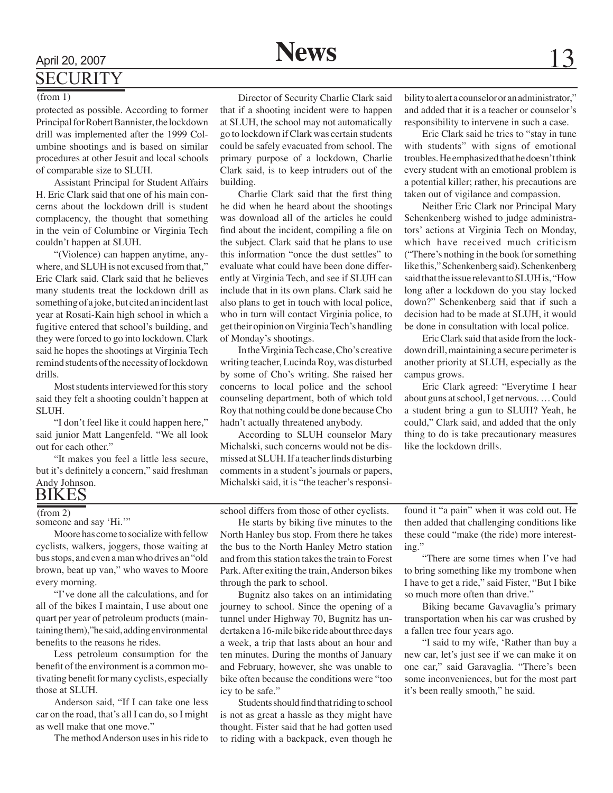# **SECURITY**

#### $(from 1)$

protected as possible. According to former Principal for Robert Bannister, the lockdown drill was implemented after the 1999 Columbine shootings and is based on similar procedures at other Jesuit and local schools of comparable size to SLUH.

Assistant Principal for Student Affairs H. Eric Clark said that one of his main concerns about the lockdown drill is student complacency, the thought that something in the vein of Columbine or Virginia Tech couldn't happen at SLUH.

"(Violence) can happen anytime, anywhere, and SLUH is not excused from that," Eric Clark said. Clark said that he believes many students treat the lockdown drill as something of a joke, but cited an incident last year at Rosati-Kain high school in which a fugitive entered that school's building, and they were forced to go into lockdown. Clark said he hopes the shootings at Virginia Tech remind students of the necessity of lockdown drills.

Most students interviewed for this story said they felt a shooting couldn't happen at SLUH.

"I don't feel like it could happen here," said junior Matt Langenfeld. "We all look out for each other."

"It makes you feel a little less secure, but it's definitely a concern," said freshman Andy Johnson.

### Bikes

 $(from 2)$ 

someone and say 'Hi.""

Moore has come to socialize with fellow cyclists, walkers, joggers, those waiting at bus stops, and even a man who drives an "old brown, beat up van," who waves to Moore every morning.

"I've done all the calculations, and for all of the bikes I maintain, I use about one quart per year of petroleum products (maintaining them),"he said, adding environmental benefits to the reasons he rides.

Less petroleum consumption for the benefit of the environment is a common motivating benefit for many cyclists, especially those at SLUH.

Anderson said, "If I can take one less car on the road, that's all I can do, so I might as well make that one move."

The method Anderson uses in his ride to

Director of Security Charlie Clark said that if a shooting incident were to happen at SLUH, the school may not automatically go to lockdown if Clark was certain students could be safely evacuated from school. The primary purpose of a lockdown, Charlie Clark said, is to keep intruders out of the building.

Charlie Clark said that the first thing he did when he heard about the shootings was download all of the articles he could find about the incident, compiling a file on the subject. Clark said that he plans to use this information "once the dust settles" to evaluate what could have been done differently at Virginia Tech, and see if SLUH can include that in its own plans. Clark said he also plans to get in touch with local police, who in turn will contact Virginia police, to get their opinion on Virginia Tech's handling of Monday's shootings.

In the Virginia Tech case, Cho's creative writing teacher, Lucinda Roy, was disturbed by some of Cho's writing. She raised her concerns to local police and the school counseling department, both of which told Roy that nothing could be done because Cho hadn't actually threatened anybody.

According to SLUH counselor Mary Michalski, such concerns would not be dismissed at SLUH. If a teacher finds disturbing comments in a student's journals or papers, Michalski said, it is "the teacher's responsibility to alert a counselor or an administrator," and added that it is a teacher or counselor's responsibility to intervene in such a case.

Eric Clark said he tries to "stay in tune with students" with signs of emotional troubles. He emphasized that he doesn't think every student with an emotional problem is a potential killer; rather, his precautions are taken out of vigilance and compassion.

Neither Eric Clark nor Principal Mary Schenkenberg wished to judge administrators' actions at Virginia Tech on Monday, which have received much criticism ("There's nothing in the book for something like this," Schenkenberg said). Schenkenberg said that the issue relevant to SLUH is, "How long after a lockdown do you stay locked down?" Schenkenberg said that if such a decision had to be made at SLUH, it would be done in consultation with local police.

Eric Clark said that aside from the lockdown drill, maintaining a secure perimeter is another priority at SLUH, especially as the campus grows.

Eric Clark agreed: "Everytime I hear about guns at school, I get nervous. … Could a student bring a gun to SLUH? Yeah, he could," Clark said, and added that the only thing to do is take precautionary measures like the lockdown drills.

school differs from those of other cyclists.

He starts by biking five minutes to the North Hanley bus stop. From there he takes the bus to the North Hanley Metro station and from this station takes the train to Forest Park. After exiting the train, Anderson bikes through the park to school.

Bugnitz also takes on an intimidating journey to school. Since the opening of a tunnel under Highway 70, Bugnitz has undertaken a 16-mile bike ride about three days a week, a trip that lasts about an hour and ten minutes. During the months of January and February, however, she was unable to bike often because the conditions were "too icy to be safe."

Students should find that riding to school is not as great a hassle as they might have thought. Fister said that he had gotten used to riding with a backpack, even though he found it "a pain" when it was cold out. He then added that challenging conditions like these could "make (the ride) more interesting."

"There are some times when I've had to bring something like my trombone when I have to get a ride," said Fister, "But I bike so much more often than drive."

Biking became Gavavaglia's primary transportation when his car was crushed by a fallen tree four years ago.

"I said to my wife, 'Rather than buy a new car, let's just see if we can make it on one car," said Garavaglia. "There's been some inconveniences, but for the most part it's been really smooth," he said.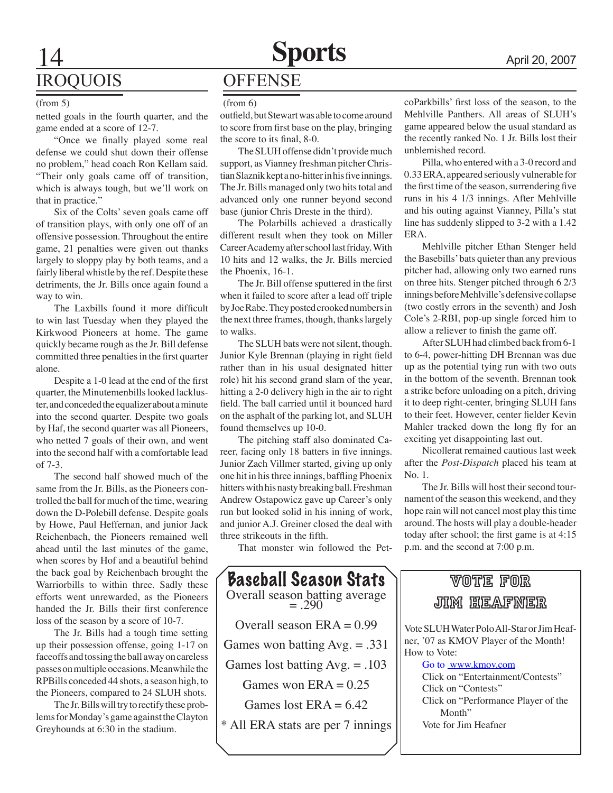# **14 Sports** April 20, 2007 **IROQUOIS**

#### (from 5)

netted goals in the fourth quarter, and the game ended at a score of 12-7.

"Once we finally played some real defense we could shut down their offense no problem," head coach Ron Kellam said. "Their only goals came off of transition, which is always tough, but we'll work on that in practice."

Six of the Colts' seven goals came off of transition plays, with only one off of an offensive possession. Throughout the entire game, 21 penalties were given out thanks largely to sloppy play by both teams, and a fairly liberal whistle by the ref. Despite these detriments, the Jr. Bills once again found a way to win.

The Laxbills found it more difficult to win last Tuesday when they played the Kirkwood Pioneers at home. The game quickly became rough as the Jr. Bill defense committed three penalties in the first quarter alone.

Despite a 1-0 lead at the end of the first quarter, the Minutemenbills looked lackluster, and conceded the equalizer about a minute into the second quarter. Despite two goals by Haf, the second quarter was all Pioneers, who netted 7 goals of their own, and went into the second half with a comfortable lead of 7-3.

The second half showed much of the same from the Jr. Bills, as the Pioneers controlled the ball for much of the time, wearing down the D-Polebill defense. Despite goals by Howe, Paul Heffernan, and junior Jack Reichenbach, the Pioneers remained well ahead until the last minutes of the game, when scores by Hof and a beautiful behind the back goal by Reichenbach brought the Warriorbills to within three. Sadly these efforts went unrewarded, as the Pioneers handed the Jr. Bills their first conference loss of the season by a score of 10-7.

The Jr. Bills had a tough time setting up their possession offense, going 1-17 on faceoffs and tossing the ball away on careless passes on multiple occasions. Meanwhile the RPBills conceded 44 shots, a season high, to the Pioneers, compared to 24 SLUH shots.

The Jr. Bills will try to rectify these problems for Monday's game against the Clayton Greyhounds at 6:30 in the stadium.

### **OFFENSE**

(from 6)

outfield, but Stewart was able to come around to score from first base on the play, bringing the score to its final, 8-0.

The SLUH offense didn't provide much support, as Vianney freshman pitcher Christian Slaznik kept a no-hitter in his five innings. The Jr. Bills managed only two hits total and advanced only one runner beyond second base (junior Chris Dreste in the third).

The Polarbills achieved a drastically different result when they took on Miller Career Academy after school last friday. With 10 hits and 12 walks, the Jr. Bills mercied the Phoenix, 16-1.

The Jr. Bill offense sputtered in the first when it failed to score after a lead off triple by Joe Rabe. They posted crooked numbers in the next three frames, though, thanks largely to walks.

The SLUH bats were not silent, though. Junior Kyle Brennan (playing in right field rather than in his usual designated hitter role) hit his second grand slam of the year, hitting a 2-0 delivery high in the air to right field. The ball carried until it bounced hard on the asphalt of the parking lot, and SLUH found themselves up 10-0.

The pitching staff also dominated Career, facing only 18 batters in five innings. Junior Zach Villmer started, giving up only one hit in his three innings, baffling Phoenix hitters with his nasty breaking ball. Freshman Andrew Ostapowicz gave up Career's only run but looked solid in his inning of work, and junior A.J. Greiner closed the deal with three strikeouts in the fifth.

That monster win followed the Pet-

Baseball Season Stats Overall season batting average Overall season  $ERA = 0.99$ Games won batting  $Avg = .331$ Games lost batting  $Avg = .103$ Games won  $ERA = 0.25$ Games lost  $ERA = 6.42$ \* All ERA stats are per 7 innings coParkbills' first loss of the season, to the Mehlville Panthers. All areas of SLUH's game appeared below the usual standard as the recently ranked No. 1 Jr. Bills lost their unblemished record.

Pilla, who entered with a 3-0 record and 0.33 ERA, appeared seriously vulnerable for the first time of the season, surrendering five runs in his 4 1/3 innings. After Mehlville and his outing against Vianney, Pilla's stat line has suddenly slipped to 3-2 with a 1.42 ERA.

Mehlville pitcher Ethan Stenger held the Basebills' bats quieter than any previous pitcher had, allowing only two earned runs on three hits. Stenger pitched through 6 2/3 innings before Mehlville's defensive collapse (two costly errors in the seventh) and Josh Cole's 2-RBI, pop-up single forced him to allow a reliever to finish the game off.

After SLUH had climbed back from 6-1 to 6-4, power-hitting DH Brennan was due up as the potential tying run with two outs in the bottom of the seventh. Brennan took a strike before unloading on a pitch, driving it to deep right-center, bringing SLUH fans to their feet. However, center fielder Kevin Mahler tracked down the long fly for an exciting yet disappointing last out.

Nicollerat remained cautious last week after the *Post-Dispatch* placed his team at No. 1.

The Jr. Bills will host their second tournament of the season this weekend, and they hope rain will not cancel most play this time around. The hosts will play a double-header today after school; the first game is at 4:15 p.m. and the second at 7:00 p.m.

### Vote for JIM HEAFNER

Vote SLUH Water Polo All-Star or Jim Heafner, '07 as KMOV Player of the Month! How to Vote:

Go to www.kmov.com Click on "Entertainment/Contests" Click on "Contests" Click on "Performance Player of the Month" Vote for Jim Heafner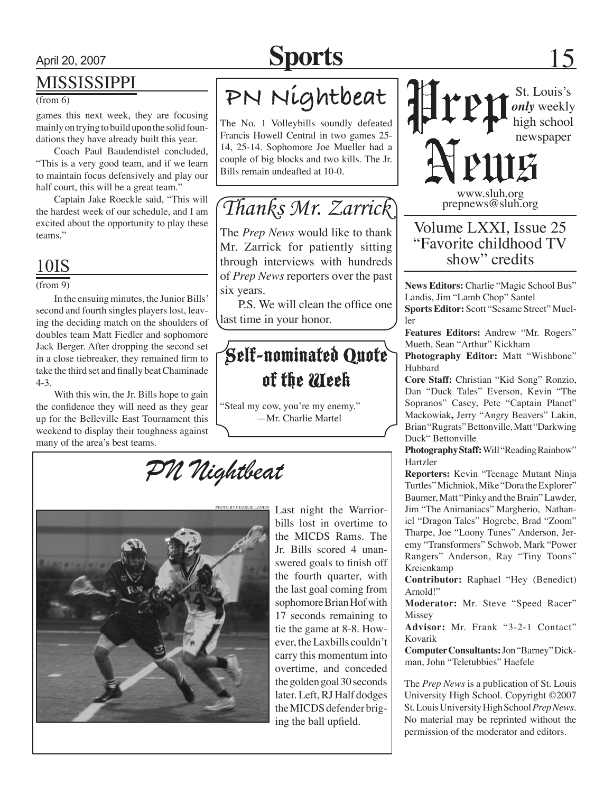# April 20, 2007 **Sports** 15

### MISSISSIPPI

#### $(from 6)$

games this next week, they are focusing mainly on trying to build upon the solid foundations they have already built this year.

Coach Paul Baudendistel concluded, "This is a very good team, and if we learn to maintain focus defensively and play our half court, this will be a great team."

Captain Jake Roeckle said, "This will the hardest week of our schedule, and I am excited about the opportunity to play these teams."

### 10IS

### (from 9)

In the ensuing minutes, the Junior Bills' second and fourth singles players lost, leaving the deciding match on the shoulders of doubles team Matt Fiedler and sophomore Jack Berger. After dropping the second set in a close tiebreaker, they remained firm to take the third set and finally beat Chaminade 4-3.

With this win, the Jr. Bills hope to gain the confidence they will need as they gear up for the Belleville East Tournament this weekend to display their toughness against many of the area's best teams.

**PN Nightbeat**

The No. 1 Volleybills soundly defeated Francis Howell Central in two games 25- 14, 25-14. Sophomore Joe Mueller had a couple of big blocks and two kills. The Jr. Bills remain undeafted at 10-0.

# *Thanks Mr. Zarrick*

The *Prep News* would like to thank Mr. Zarrick for patiently sitting through interviews with hundreds of *Prep News* reporters over the past six years.

P.S. We will clean the office one last time in your honor.

### Self-nominated Quote of the Week

"Steal my cow, you're my enemy." —Mr. Charlie Martel





Last night the Warriorbills lost in overtime to the MICDS Rams. The Jr. Bills scored 4 unanswered goals to finish off the fourth quarter, with the last goal coming from sophomore Brian Hof with 17 seconds remaining to tie the game at 8-8. However, the Laxbills couldn't carry this momentum into overtime, and conceded the golden goal 30 seconds later. Left, RJ Half dodges the MICDS defender briging the ball upfield.

St. Louis's *only* weekly high school newspaper

www.sluh.org prepnews@sluh.org

### Volume LXXI, Issue 25 "Favorite childhood TV show" credits

**News Editors:** Charlie "Magic School Bus" Landis, Jim "Lamb Chop" Santel

**Sports Editor:** Scott "Sesame Street" Mueller

**Features Editors:** Andrew "Mr. Rogers" Mueth, Sean "Arthur" Kickham

**Photography Editor:** Matt "Wishbone" Hubbard

**Core Staff:** Christian "Kid Song" Ronzio, Dan "Duck Tales" Everson, Kevin "The Sopranos" Casey, Pete "Captain Planet" Mackowiak**,** Jerry "Angry Beavers" Lakin, Brian "Rugrats" Bettonville, Matt "Darkwing Duck" Bettonville

**Photography Staff:** Will "Reading Rainbow" Hartzler

**Reporters:** Kevin "Teenage Mutant Ninja Turtles" Michniok, Mike "Dora the Explorer" Baumer, Matt "Pinky and the Brain" Lawder, Jim "The Animaniacs" Margherio, Nathaniel "Dragon Tales" Hogrebe, Brad "Zoom" Tharpe, Joe "Loony Tunes" Anderson, Jeremy "Transformers" Schwob, Mark "Power Rangers" Anderson, Ray "Tiny Toons" Kreienkamp

**Contributor:** Raphael "Hey (Benedict) Arnold!"

**Moderator:** Mr. Steve "Speed Racer" Missey

**Advisor:** Mr. Frank "3-2-1 Contact" Kovarik

**Computer Consultants:** Jon "Barney" Dickman, John "Teletubbies" Haefele

The *Prep News* is a publication of St. Louis University High School. Copyright ©2007 St. Louis University High School *Prep News.*  No material may be reprinted without the permission of the moderator and editors.